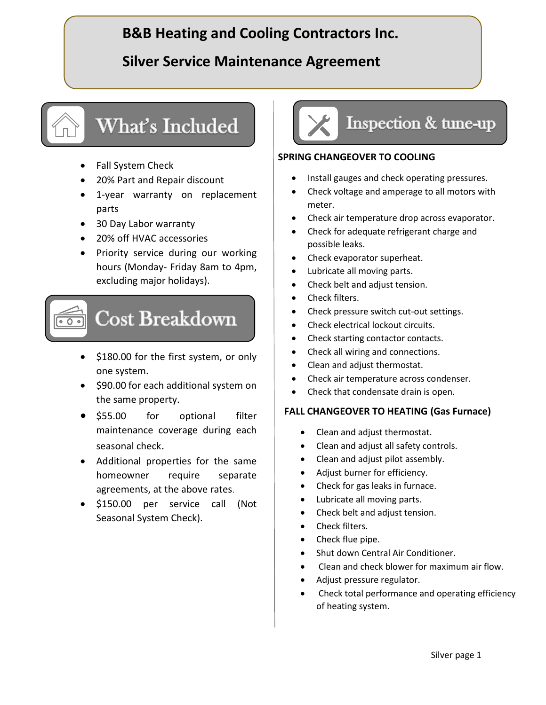# **B&B Heating and Cooling Contractors Inc.**

## **Silver Service Maintenance Agreement**

# What's Included

- Fall System Check
- 20% Part and Repair discount
- 1-year warranty on replacement parts
- 30 Day Labor warranty
- 20% off HVAC accessories
- Priority service during our working hours (Monday- Friday 8am to 4pm, excluding major holidays).

# **Cost Breakdown**

- \$180.00 for the first system, or only one system.
- \$90.00 for each additional system on the same property.
- \$55.00 for optional filter maintenance coverage during each seasonal check.
- Additional properties for the same homeowner require separate agreements, at the above rates.
- \$150.00 per service call (Not Seasonal System Check).



#### **SPRING CHANGEOVER TO COOLING**

- Install gauges and check operating pressures.
- Check voltage and amperage to all motors with meter.
- Check air temperature drop across evaporator.
- Check for adequate refrigerant charge and possible leaks.
- Check evaporator superheat.
- Lubricate all moving parts.
- Check belt and adjust tension.
- Check filters.
- Check pressure switch cut-out settings.
- Check electrical lockout circuits.
- Check starting contactor contacts.
- Check all wiring and connections.
- Clean and adjust thermostat.
- Check air temperature across condenser.
- Check that condensate drain is open.

#### **FALL CHANGEOVER TO HEATING (Gas Furnace)**

- Clean and adjust thermostat.
- Clean and adjust all safety controls.
- Clean and adjust pilot assembly.
- Adjust burner for efficiency.
- Check for gas leaks in furnace.
- Lubricate all moving parts.
- Check belt and adjust tension.
- Check filters.
- Check flue pipe.
- Shut down Central Air Conditioner.
- Clean and check blower for maximum air flow.
- Adjust pressure regulator.
- Check total performance and operating efficiency of heating system.